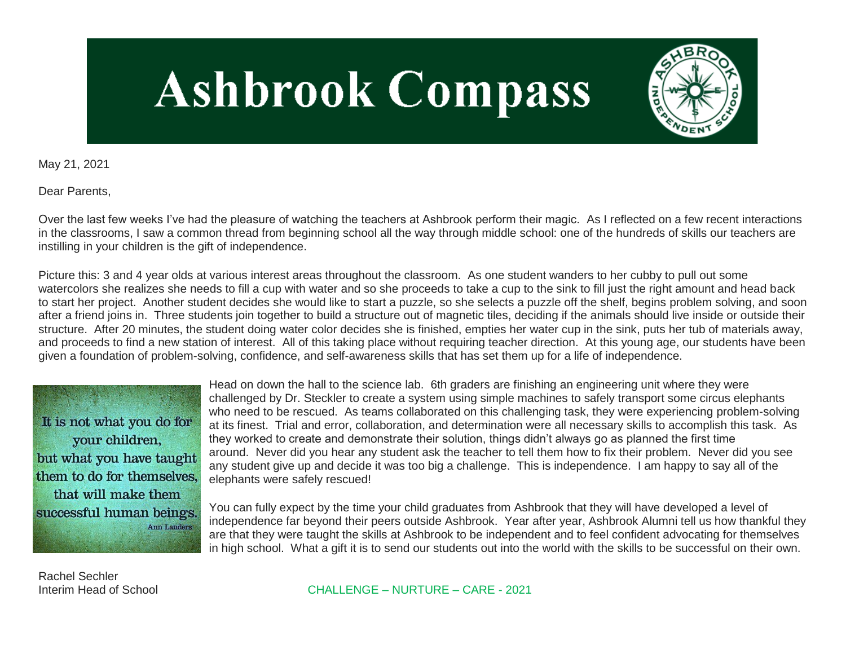# **Ashbrook Compass**



May 21, 2021

Dear Parents,

Over the last few weeks I've had the pleasure of watching the teachers at Ashbrook perform their magic. As I reflected on a few recent interactions in the classrooms, I saw a common thread from beginning school all the way through middle school: one of the hundreds of skills our teachers are instilling in your children is the gift of independence.

Picture this: 3 and 4 year olds at various interest areas throughout the classroom. As one student wanders to her cubby to pull out some watercolors she realizes she needs to fill a cup with water and so she proceeds to take a cup to the sink to fill just the right amount and head back to start her project. Another student decides she would like to start a puzzle, so she selects a puzzle off the shelf, begins problem solving, and soon after a friend joins in. Three students join together to build a structure out of magnetic tiles, deciding if the animals should live inside or outside their structure. After 20 minutes, the student doing water color decides she is finished, empties her water cup in the sink, puts her tub of materials away, and proceeds to find a new station of interest. All of this taking place without requiring teacher direction. At this young age, our students have been given a foundation of problem-solving, confidence, and self-awareness skills that has set them up for a life of independence.

It is not what you do for your children. but what you have taught them to do for themselves. that will make them successful human beings. **Ann Landers** 

Head on down the hall to the science lab. 6th graders are finishing an engineering unit where they were challenged by Dr. Steckler to create a system using simple machines to safely transport some circus elephants who need to be rescued. As teams collaborated on this challenging task, they were experiencing problem-solving at its finest. Trial and error, collaboration, and determination were all necessary skills to accomplish this task. As they worked to create and demonstrate their solution, things didn't always go as planned the first time around. Never did you hear any student ask the teacher to tell them how to fix their problem. Never did you see any student give up and decide it was too big a challenge. This is independence. I am happy to say all of the elephants were safely rescued!

You can fully expect by the time your child graduates from Ashbrook that they will have developed a level of independence far beyond their peers outside Ashbrook. Year after year, Ashbrook Alumni tell us how thankful they are that they were taught the skills at Ashbrook to be independent and to feel confident advocating for themselves in high school. What a gift it is to send our students out into the world with the skills to be successful on their own.

Rachel Sechler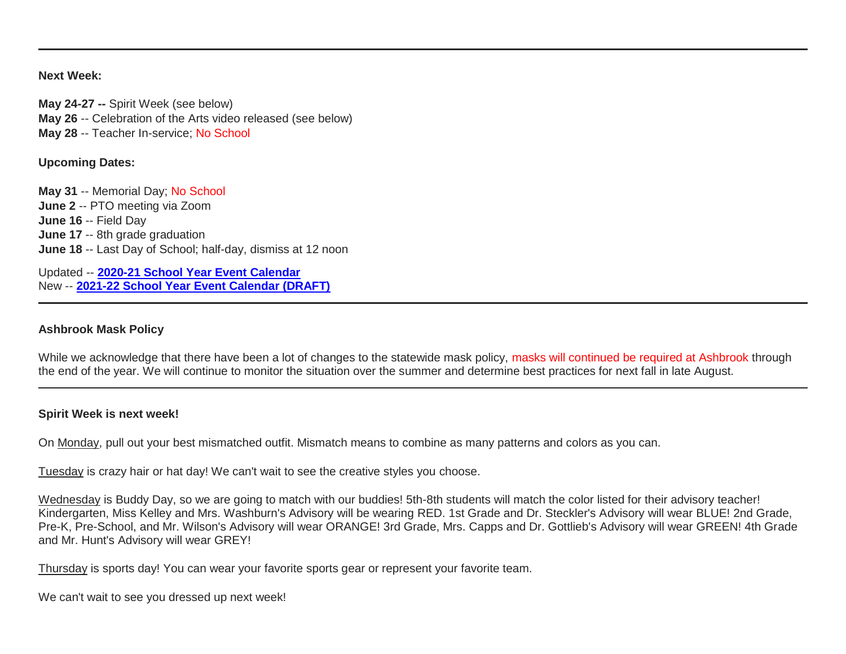#### **Next Week:**

**May 24-27 --** Spirit Week (see below) **May 26** -- Celebration of the Arts video released (see below) **May 28** -- Teacher In-service; No School

## **Upcoming Dates:**

**May 31** -- Memorial Day; No School **June 2** -- PTO meeting via Zoom **June 16** -- Field Day **June 17** -- 8th grade graduation **June 18** -- Last Day of School; half-day, dismiss at 12 noon

Updated -- **[2020-21 School Year Event Calendar](http://link.mystudentsprogress.com/ls/click?upn=t3AI3kjK1Pyk9qPfHnOahelBVVSIlRAa3GeSLMbkINmgHr3guxrPuqfp-2Bh-2FJW4nCZ4g8Gi3XkGXC-2FKATZbsSvlLtGaxynoxi8rg7wuoRjJ9ogb5HbX999Eip-2FZE6wLdBt-2FZXHJBS6zquMLtzN9wyAf-2BwWQPV3rI3lDDknuQ1JHMBzJ8gUYT-2F7YzNEwZY9IsL01sHprQ-2FIDOi-2FxvxQxcWeu-2FLg4DWCvJZy51IrsH8vPbEbNYiaMe7OT-2BYVHBjA6If6Cy7Mms4taffQVXa23QhNsE07HaGgkiu3fqtaJkTJjujoF8geB-2B7yrFJlU-2Bh73cj7oh1KB0ZWcWlNyH4qILVtYy3xahPAyIDi-2FG8GbPIbbMnjHGsyDRcKhRBK01iIs0fWqLDocQrloAUZMJ2oyRRmomJiqxd8x5nm2tsxL6wpP0tqjz-2BRT10Y58FhIoH48TgPplUYhhzJvLEmRSNpyhz5VhooRDAGAW42Jwa7NEBpqdQd1pC7c9i74l-2B7qocqb4NFCx2zNQdMXBq7aPsdV1jBwFOcBoDfD-2BkMY9Q2-2Fz5TM9xC3hN5KM3lImdKPKAuQlU8z9DBnPQ6JHoZkYX6gdK1q2EDnTQzS1hFboCQrgWAPMKvnFvGQ91zsZ3YbPRZrtBTsE8nm0LFctt1l2hLHszorEeN2S9WwA5wgERaD7rVnB33cySZWT-2BioV-2FxoVNhOXSQ-2B9Ak4v5yJ76uEuEAAGsNS-2Bs-2B7xzZZxiJOoOrzyLh68-3Dq4Io_1PndbFfBoQGSZbxwXHHEexw3B2F0fG-2BUmuXm6a-2BX-2BzvS-2F1JOFTKAGo8wv9YFpn0dlem2HQj-2FKfBV7iSMQcxuCfZ-2Bl6Ard9Js1ffliehSTruLDvwa20A-2BQ6sk17mGh6AyrYzuKRAViHBm1qIUmz-2FtKYRaUvCIthVHHrGBP953obveuLGo77PELnmyc5iiRGLvyXBpIsEyULGLbz-2BGfIqUipUbwPvetK2tOm9uzPeDZ1ETUG1kNy-2B-2BaPAA-2BlmLW-2FjJ4tZlmPFDAXXqYO4plvtN-2Fp95Rw-2BI1bA0rdmKJrxMRpX-2F38TBjYxgL4Az2DjYGb4HBaNsrphvIjx-2F-2BMble3Gmy9EBp7TLn3y0uPxDe-2FYhyXkG50rJ-2FOZff1TwH8lc6aDGv1vceAOyvHQ3V8-2FhEHnHXUCplfbZj1OtlJPF1yuKIVDzeHTrhv-2Ffd6aPXuTXWQbx)** New -- **[2021-22 School Year Event Calendar \(DRAFT\)](http://link.mystudentsprogress.com/ls/click?upn=t3AI3kjK1Pyk9qPfHnOahelBVVSIlRAa3GeSLMbkINmgHr3guxrPuqfp-2Bh-2FJW4nCZ4g8Gi3XkGXC-2FKATZbsSvlLtGaxynoxi8rg7wuoRjJ9ogb5HbX999Eip-2FZE6wLdBt-2FZXHJBS6zquMLtzN9wyAf-2BwWQPV3rI3lDDknuQ1JHMBzJ8gUYT-2F7YzNEwZY9IsL01sHprQ-2FIDOi-2FxvxQxcWetx3uPiVsOO-2BTqPctwW7ytf9RkxC1x3UjTIEBtRaqxRocHrr-2BmciBR4-2BJ-2F9FRK9RIbCVijz3zpNIIcd4PIsUMddSSVNBf6Erlmv-2BHBcLMpY-2BXATDQ1ruaOReFDZmWYSBv8U-2FG-2FKOr0yEkAwqSdMzdcQ3gq4Z79RZNOTZP4nGap5-2B4nzc4nIf29OyD3NhvJHQaLkc85sE-2FfYbPaGyyk6H2FOzJRYThJmT37US6LpTrGNlh9HxVTLYe1LpjcNTBXNJsSKlp-2BAa-2BVuGTdE8v33fTt9-2BgR-2BE9tSlDPzhNHxWPZ2RZ535aLRz3SoCCiPZR3EABfh4FMKDRC4z2q-2Bvjvbtim7SOD4kDD2r5XYSDBe4a3bcI5fNds6iRAQWmj3uDnwn3-2B3tKuGNT1JKaRpJXKTgGLzWZLAnNUo4fvdQC77H83vaK-2BM8PCeLuljt-2FRAsnx0cP-2FGdRouESOyMOB5ORkT-2BH-2Bkw4hRRiiTCpe61BsZqpA-2BugStb_1PndbFfBoQGSZbxwXHHEexw3B2F0fG-2BUmuXm6a-2BX-2BzvS-2F1JOFTKAGo8wv9YFpn0dlem2HQj-2FKfBV7iSMQcxuCW1xtTEGMI6u4XUsUPHc3mZXy-2FQmxnnClOyVpDLPCA0jO3HeexxxpnTm2LULutJdvlYt-2BnWuhoD2TsWiNnHUv285vxbEiRmiPrshm-2Fk3bTahIM-2FIvC2rTgTsPGjdNvo8oIDiZdHQpOIsTFMg22KM0RZ5BcD-2B4L9FGCbx8gtze-2BrRkUVheIRb6LM8OTkh0AWO-2BQDjqb8U0-2BC4bhhd8oKqH45Pw-2BS-2By-2Bde22sGilHT-2F9mnMNqtnhqHRRtTDe25pfOfDap37Vzptu7LtBCjbtNhdkAIF86nWW0pvHKbxWC6kFTQEzd5hZgs1vCh3TjCniEC2UbHWJarUOBBDjhGTB1GXgX2XDS-2BdzHXzMNft55Xrxa7)**

## **Ashbrook Mask Policy**

While we acknowledge that there have been a lot of changes to the statewide mask policy, masks will continued be required at Ashbrook through the end of the year. We will continue to monitor the situation over the summer and determine best practices for next fall in late August.

#### **Spirit Week is next week!**

On Monday, pull out your best mismatched outfit. Mismatch means to combine as many patterns and colors as you can.

Tuesday is crazy hair or hat day! We can't wait to see the creative styles you choose.

Wednesday is Buddy Day, so we are going to match with our buddies! 5th-8th students will match the color listed for their advisory teacher! Kindergarten, Miss Kelley and Mrs. Washburn's Advisory will be wearing RED. 1st Grade and Dr. Steckler's Advisory will wear BLUE! 2nd Grade, Pre-K, Pre-School, and Mr. Wilson's Advisory will wear ORANGE! 3rd Grade, Mrs. Capps and Dr. Gottlieb's Advisory will wear GREEN! 4th Grade and Mr. Hunt's Advisory will wear GREY!

Thursday is sports day! You can wear your favorite sports gear or represent your favorite team.

We can't wait to see you dressed up next week!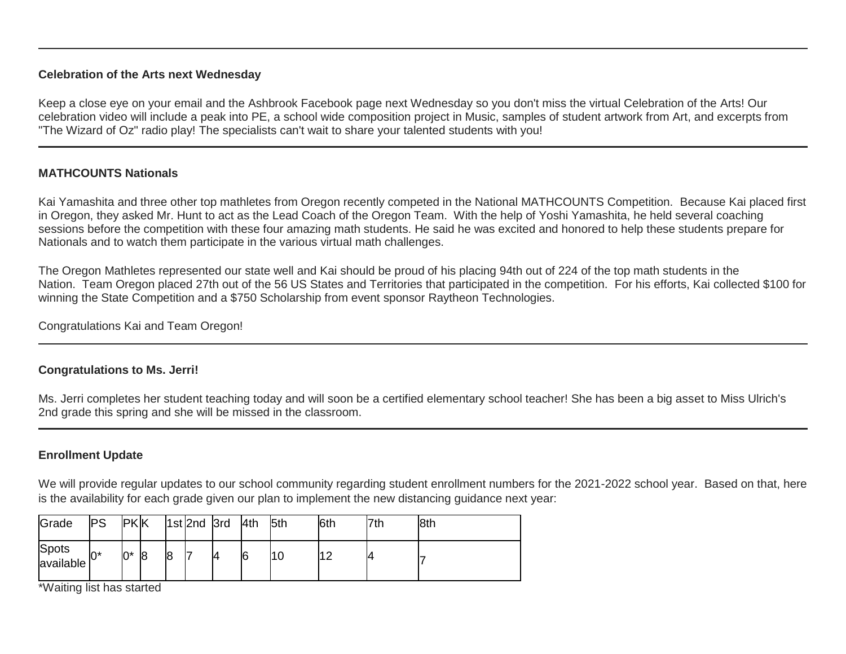## **Celebration of the Arts next Wednesday**

Keep a close eye on your email and the Ashbrook Facebook page next Wednesday so you don't miss the virtual Celebration of the Arts! Our celebration video will include a peak into PE, a school wide composition project in Music, samples of student artwork from Art, and excerpts from "The Wizard of Oz" radio play! The specialists can't wait to share your talented students with you!

# **MATHCOUNTS Nationals**

Kai Yamashita and three other top mathletes from Oregon recently competed in the National MATHCOUNTS Competition. Because Kai placed first in Oregon, they asked Mr. Hunt to act as the Lead Coach of the Oregon Team. With the help of Yoshi Yamashita, he held several coaching sessions before the competition with these four amazing math students. He said he was excited and honored to help these students prepare for Nationals and to watch them participate in the various virtual math challenges.

The Oregon Mathletes represented our state well and Kai should be proud of his placing 94th out of 224 of the top math students in the Nation. Team Oregon placed 27th out of the 56 US States and Territories that participated in the competition. For his efforts, Kai collected \$100 for winning the State Competition and a \$750 Scholarship from event sponsor Raytheon Technologies.

Congratulations Kai and Team Oregon!

# **Congratulations to Ms. Jerri!**

Ms. Jerri completes her student teaching today and will soon be a certified elementary school teacher! She has been a big asset to Miss Ulrich's 2nd grade this spring and she will be missed in the classroom.

# **Enrollment Update**

We will provide regular updates to our school community regarding student enrollment numbers for the 2021-2022 school year. Based on that, here is the availability for each grade given our plan to implement the new distancing guidance next year:

| Grade              | <b>PS</b> | <b>PKK</b> |                |    | $ 1st 2nd$ 3rd | 4th | 5th | 6th | 7th | 8th |
|--------------------|-----------|------------|----------------|----|----------------|-----|-----|-----|-----|-----|
| Spots<br>available | $0^*$     | 0*         | $\overline{8}$ | 18 |                | 6   | 10  |     |     |     |

\*Waiting list has started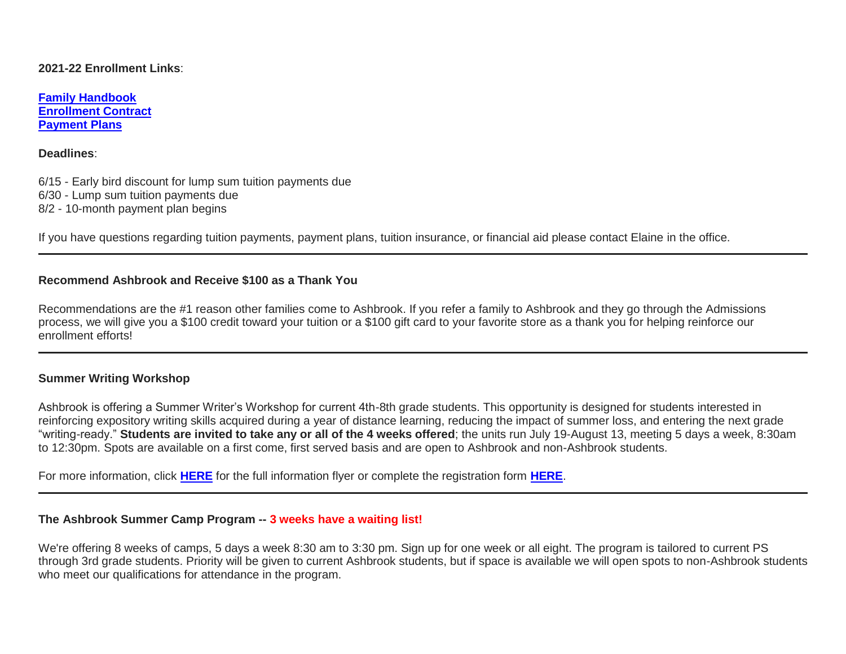## **2021-22 Enrollment Links**:

**[Family Handbook](http://link.mystudentsprogress.com/ls/click?upn=n7jYKe39nC4PrVAw2BzaOolgU5XUleaJ61qfvNJxTW3uoi8RFzNYUfSc1qXdqajA34djZWrxIBJBxzp2whbybvqIYp3dDOkCDgKesziBdCm1u7J5UB6bwQicng-2BhFj8j9ZZ0Lb7IyRpSLLhbS8X-2BNE-2FsFTu5auQ5tTHoLi9o48o-3DSgl0_1PndbFfBoQGSZbxwXHHEexw3B2F0fG-2BUmuXm6a-2BX-2BzvS-2F1JOFTKAGo8wv9YFpn0dlem2HQj-2FKfBV7iSMQcxuCSIgroGnjdBw7FXzsxP6FnWXiOVRkZGU3puvb7qDK7P4TSy1GATC-2Fz-2FfX4-2B4EXOZSroPXUPhbB2g1oGcvsbE-2BAhBatpsuh5uv-2BoFmlenI4j7d4R2YF-2F7Y7Y64y5CN3AvmoLKS-2FHxt6xqeCZedDbPLNE6RGGg1vMvO1KaK1EblHDVoc4Kj6-2BS9hh1HPFpYCyC73v53hqCyDP3xNj0BlaWEWcMz15TZKsZEusXyOlRQVQVYrNJ7dfDA3dRFVTNks8d-2FPiGMweQZX03t6DxzLPXzHwobVQnsvV6zf7KYuha0LABoIdprXgOmGZ-2BDtaePa4I-2FYUoYypjXgqYXrxmh7CPWhNmpw2Pu0cUxl2ygQWHmgFJ) [Enrollment Contract](http://link.mystudentsprogress.com/ls/click?upn=VTTLfIwNu5QFy05N-2BXKA7MM5XZ-2FaPNghD0e589AKGRWdKrXyK6-2Bm8bb1I1DfT5Io0Hv1qAH8mdM37znR5vOcFGB7DIQx2jp4xdjBwuqeZxT1Pjkge-2BjWLaV97kHLeMz5TQtiyRq8-2FrZ-2FtIkmMJcnCvTSbyF8-2BEnMtFIKrlq0nbyYLhMWqtk6N17cNuWkmBCi2eg-2FDcyJo-2FZoHU6aac7YTMbLoqiYM-2Bpq5ghj-2BCMqt1Q-3DNgRZ_1PndbFfBoQGSZbxwXHHEexw3B2F0fG-2BUmuXm6a-2BX-2BzvS-2F1JOFTKAGo8wv9YFpn0dlem2HQj-2FKfBV7iSMQcxuCVqJDwzbWumh1l-2FtJcO44GixbFKqnKoZLce2X-2BKloXHuB823YpSl0iEDLhcQrAUK7tfr1cTJyzvaB5K3oAXjF4Rg9l-2FUSEi0xTGQcdEXFOUsb50v0M-2FZYxmbHVzrzyF4rt00MPlbibJY0D2bK-2FEG3RbQGzn2eW5io88jycGPwj-2B68yubnlbPEGN1KH8pg8vIytiYKSVg7-2FtI13s1i2ZgPIGf8LZqUUFZC3OAcxeGN1qNBXhc5gokU4SaQAkxykhdKIqpB5horbOu2DwSQ3MDUainZIN-2BTTwrLzc3SG3-2BrsBcvcZNwJiyFBYRIsNNZRsGk3naJqkbgqE8BAuHfx7vxymN7Pzp196zHgRr-2BSLyaJZg) [Payment Plans](http://link.mystudentsprogress.com/ls/click?upn=n7jYKe39nC4PrVAw2BzaOolgU5XUleaJ61qfvNJxTW3uoi8RFzNYUfSc1qXdqajA34djZWrxIBJBxzp2whbybvqIYp3dDOkCDgKesziBdClkeFpPmgMGrgcxNe5TC96odu91tl93IdUb7rzqL2LYFkOwDdym2keCOp3gkw-2Fos5E-3DtCOM_1PndbFfBoQGSZbxwXHHEexw3B2F0fG-2BUmuXm6a-2BX-2BzvS-2F1JOFTKAGo8wv9YFpn0dlem2HQj-2FKfBV7iSMQcxuCXVJkk7mwplIKetCvCdN1CIMuKaC4KngCeNFqBM7KDXn87V5-2BLxiD-2FQqp19XOMUBJw2es5nz6gO4A-2BlWc0hWmldWBsfh3Wpd-2F1J5ccy0wWslJgmw6CZ7KJNZisEUUMjukOgLJ9rX7znD5NjCaivX31qGkkUFVtg3vrBZIpZGq6ZBqN9tN33SOKZ-2FHGTXAIToVwRxKc2aw7ay2itZCyph0I2Y1-2BC019HBWzuWaA8BrttOW47qcMsmhb9j98lSNAnFyuvk-2F8oh-2Be0NmWsarqBi59VZ8bSs0mwSVl84TOX7-2FukxewjXkT0JHTCRVSYQLo6DVvVlwcHvFhmeplONBLhNAoAaCmU7r5Lc2EFZqiQvTbZ1)**

#### **Deadlines**:

6/15 - Early bird discount for lump sum tuition payments due 6/30 - Lump sum tuition payments due 8/2 - 10-month payment plan begins

If you have questions regarding tuition payments, payment plans, tuition insurance, or financial aid please contact Elaine in the office.

## **Recommend Ashbrook and Receive \$100 as a Thank You**

Recommendations are the #1 reason other families come to Ashbrook. If you refer a family to Ashbrook and they go through the Admissions process, we will give you a \$100 credit toward your tuition or a \$100 gift card to your favorite store as a thank you for helping reinforce our enrollment efforts!

## **Summer Writing Workshop**

Ashbrook is offering a Summer Writer's Workshop for current 4th-8th grade students. This opportunity is designed for students interested in reinforcing expository writing skills acquired during a year of distance learning, reducing the impact of summer loss, and entering the next grade "writing-ready." **Students are invited to take any or all of the 4 weeks offered**; the units run July 19-August 13, meeting 5 days a week, 8:30am to 12:30pm. Spots are available on a first come, first served basis and are open to Ashbrook and non-Ashbrook students.

For more information, click **[HERE](http://link.mystudentsprogress.com/ls/click?upn=n7jYKe39nC4PrVAw2BzaOolgU5XUleaJ61qfvNJxTW3uoi8RFzNYUfSc1qXdqajA34djZWrxIBJBxzp2whbybvqIYp3dDOkCDgKesziBdCmUFK611Dwx09bu-2FHGeGjMdYMdlKOkEJljN4aGLHb-2FYq2T0mejVJ9zz4sJVp9uFP1r-2FqIIxALPi9YeUjY-2FEHo0AxzNy_1PndbFfBoQGSZbxwXHHEexw3B2F0fG-2BUmuXm6a-2BX-2BzvS-2F1JOFTKAGo8wv9YFpn0dlem2HQj-2FKfBV7iSMQcxuCZL1Rd3-2B-2Fiv7cB7q0ThMOMgdDXOPgFoeV2T6neq1GhwwMu4olkJMzCCMy4mYWyIrIq9VEe-2F-2FxVKVmYyhezQfa30d-2Bj1Dt-2F2rff76jv5IkfERtxgQ83J1BHca9w5Y9vN-2BT5Uz-2Bqe2ZEPk7i7gERIJjvoo1Upx7rES4wqL6BZszNnflUY9TJ2mfRGh7IwzQwp01aMFTTVwaOqhxE5LX2HvV42bqSkz26OA5IZGdnIdUhVhxB0vLrYQOLWj7jhUmN9kMk7S3f27e2sV0vcW9AjfG-2B6N58nYjPJ1btKCdztoX-2BAZMgGDd8DmZLDxs85eMlXhcMeiuLTb-2FXispXhANRLthpMhexPXCWkiHWpH4A2rz2qN)** for the full information flyer or complete the registration form **[HERE](http://link.mystudentsprogress.com/ls/click?upn=qkro44VJaETWQ07zA-2B-2FiE0363Dmsi-2F5FxyhrW5Y7wr4-3Dt9sX_1PndbFfBoQGSZbxwXHHEexw3B2F0fG-2BUmuXm6a-2BX-2BzvS-2F1JOFTKAGo8wv9YFpn0dlem2HQj-2FKfBV7iSMQcxuCZA4h7y8sCF7ElYVL26lWi3dW35XQh7VMytf6IBqsBe8o5qExRMznZQcIB3lFzORmqvQyJG5ZNWNJAHGPh-2FqtHDDsfyU5UHmpM-2BXI1yT6VlS7Ip32DKCJhLudzdkFbpshG7EQHkSBUBjeY71D6DjVtOn-2FJh0WN9NTiaTuMTtvIEVoLy7X0PxnqpF5-2F-2Btku8O8RhqVxZDpOBV7Uxy12HgL6-2BFKv2RT-2B4p0xpCeKqCCaKfsKFVdJM7WNt-2FtC-2B-2FVw3jdoZPMH9nYtW3nicWDnOM7zKNFw2nz0eqPU-2FvpWSHk-2FzNSeoKn0Hd2bogRjJKplG-2FeJg9vFFMuazCrLYMwWzKSjEzGS-2Ft1X45-2FdLGWIWjlmRa)**.

#### **The Ashbrook Summer Camp Program -- 3 weeks have a waiting list!**

We're offering 8 weeks of camps, 5 days a week 8:30 am to 3:30 pm. Sign up for one week or all eight. The program is tailored to current PS through 3rd grade students. Priority will be given to current Ashbrook students, but if space is available we will open spots to non-Ashbrook students who meet our qualifications for attendance in the program.